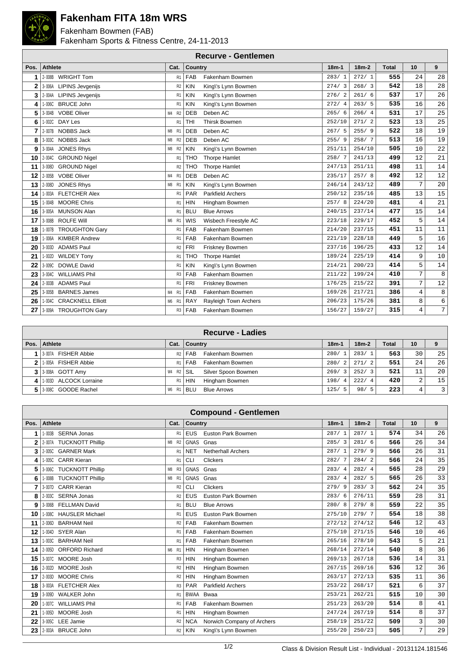

## **Fakenham FITA 18m WRS**

Fakenham Bowmen (FAB) Fakenham Sports & Fitness Centre, 24-11-2013

|      | <b>Recurve - Gentlemen</b>     |                 |            |                          |         |           |              |                |                |  |  |  |  |  |
|------|--------------------------------|-----------------|------------|--------------------------|---------|-----------|--------------|----------------|----------------|--|--|--|--|--|
| Pos. | <b>Athlete</b>                 | Cat.            | Country    |                          | $18m-1$ | $18m - 2$ | <b>Total</b> | 10             | 9              |  |  |  |  |  |
|      | 2-008B WRIGHT Tom              | R <sub>1</sub>  | FAB        | Fakenham Bowmen          | 283/1   | 272/1     | 555          | 24             | 28             |  |  |  |  |  |
| 2    | 3-006A LIPINS Jevgenijs        | R <sub>2</sub>  | <b>KIN</b> | King\'s Lynn Bowmen      | 274/3   | 268/3     | 542          | 18             | 28             |  |  |  |  |  |
| 3    | 2-004A LIPINS Jevgenijs        | R <sub>1</sub>  | <b>KIN</b> | King\'s Lynn Bowmen      | 276/2   | 261/6     | 537          | 17             | 26             |  |  |  |  |  |
| 4    | <b>BRUCE John</b><br>1-006C    | R <sub>1</sub>  | <b>KIN</b> | King\'s Lynn Bowmen      | 272/4   | 263/5     | 535          | 16             | 26             |  |  |  |  |  |
| 5    | <b>VOBE Oliver</b><br>3-004B   | M4 R2           | <b>DEB</b> | Deben AC                 | 265/6   | 266/4     | 531          | 17             | 25             |  |  |  |  |  |
| 6    | DAY Les<br>1-002C              | R <sub>1</sub>  | THI        | <b>Thirsk Bowmen</b>     | 252/10  | 271/2     | 523          | 13             | 25             |  |  |  |  |  |
| 7    | <b>NOBBS Jack</b><br>2-007B    | M8<br><b>R1</b> | <b>DEB</b> | Deben AC                 | 267/5   | 255/9     | 522          | 18             | 19             |  |  |  |  |  |
| 8    | 3-003C<br>NOBBS Jack           | M8 R2           | <b>DEB</b> | Deben AC                 | 255/9   | 258/7     | 513          | 16             | 19             |  |  |  |  |  |
| 9    | <b>JONES Rhys</b><br>3-004A    | M8 R2           | <b>KIN</b> | King\'s Lynn Bowmen      | 251/11  | 254/10    | 505          | 10             | 22             |  |  |  |  |  |
| 10   | <b>GROUND Nigel</b><br>2-004C  | R <sub>1</sub>  | <b>THO</b> | <b>Thorpe Hamlet</b>     | 258/7   | 241/13    | 499          | 12             | $2\sqrt{1}$    |  |  |  |  |  |
| 11   | <b>GROUND Nigel</b><br>3-008D  | R <sub>2</sub>  | <b>THO</b> | <b>Thorpe Hamlet</b>     | 247/13  | 251/11    | 498          | 11             | 14             |  |  |  |  |  |
| 12   | 2-005B VOBE Oliver             | M4 R1           | <b>DEB</b> | Deben AC                 | 235/17  | 257/8     | 492          | 12             | 12             |  |  |  |  |  |
| 13   | <b>JONES Rhys</b><br>2-008D    | M8 R1           | <b>KIN</b> | King\'s Lynn Bowmen      | 246/14  | 243/12    | 489          | 7              | 20             |  |  |  |  |  |
| 14   | <b>FLETCHER Alex</b><br>1-003A | R <sub>1</sub>  | PAR        | <b>Parkfield Archers</b> | 250/12  | 235/16    | 485          | 13             | 15             |  |  |  |  |  |
| 15   | <b>MOORE Chris</b><br>1-004B   | R <sub>1</sub>  | <b>HIN</b> | Hingham Bowmen           | 257/8   | 224/20    | 481          | $\overline{4}$ | 21             |  |  |  |  |  |
| 16   | 3-005A MUNSON Alan             | R <sub>1</sub>  | <b>BLU</b> | <b>Blue Arrows</b>       | 240/15  | 237/14    | 477          | 15             | 14             |  |  |  |  |  |
| 17   | <b>ROLFE Will</b><br>3-008B    | M6 R1           | <b>WIS</b> | Wisbech Freestyle AC     | 223/18  | 229/17    | 452          | 5              | 14             |  |  |  |  |  |
| 18   | 1-007B TROUGHTON Gary          | R <sub>1</sub>  | FAB        | Fakenham Bowmen          | 214/20  | 237/15    | 451          | 11             | 11             |  |  |  |  |  |
| 19   | 1-006A KIMBER Andrew           | R <sub>1</sub>  | FAB        | Fakenham Bowmen          | 221/19  | 228/18    | 449          | 5              | 16             |  |  |  |  |  |
| 20   | <b>ADAMS Paul</b><br>3-003D    | R <sub>2</sub>  | <b>FRI</b> | Friskney Bowmen          | 237/16  | 196/25    | 433          | 12             | 14             |  |  |  |  |  |
| 21   | <b>WILDEY Tony</b><br>1-002D   | R <sub>1</sub>  | <b>THO</b> | <b>Thorpe Hamlet</b>     | 189/24  | 225/19    | 414          | 9              | 10             |  |  |  |  |  |
| 22   | 3-009C<br><b>DOWLE David</b>   | R <sub>1</sub>  | <b>KIN</b> | King\'s Lynn Bowmen      | 214/21  | 200/23    | 414          | 5              | 14             |  |  |  |  |  |
| 23   | <b>WILLIAMS Phil</b><br>3-004C | R <sub>3</sub>  | FAB        | Fakenham Bowmen          | 211/22  | 199/24    | 410          | $\overline{7}$ | 8              |  |  |  |  |  |
| 24   | <b>ADAMS Paul</b><br>2-003B    | R <sub>1</sub>  | <b>FRI</b> | Friskney Bowmen          | 176/25  | 215/22    | 391          | $\overline{7}$ | 12             |  |  |  |  |  |
| 25   | <b>BARNES James</b><br>3-005B  | M4 R1           | FAB        | Fakenham Bowmen          | 169/26  | 217/21    | 386          | $\overline{4}$ | $\,8\,$        |  |  |  |  |  |
| 26   | 1-004C CRACKNELL Elliott       | M6 R1           | <b>RAY</b> | Rayleigh Town Archers    | 206/23  | 175/26    | 381          | 8              | $\epsilon$     |  |  |  |  |  |
| 27   | 3-009A TROUGHTON Gary          | R <sub>3</sub>  | FAB        | Fakenham Bowmen          | 156/27  | 159/27    | 315          | 4              | 7 <sup>1</sup> |  |  |  |  |  |

| <b>Recurve - Ladies</b>    |                 |                      |                     |                        |         |       |    |    |  |  |
|----------------------------|-----------------|----------------------|---------------------|------------------------|---------|-------|----|----|--|--|
| Pos. Athlete               | Cat.            | Country              |                     | $18m-1$                | $18m-2$ | Total | 10 |    |  |  |
| 1 3-007A FISHER Abbie      |                 | R <sub>2</sub>   FAB | Fakenham Bowmen     | 280/<br>$\overline{1}$ | 283/1   | 563   | 30 | 25 |  |  |
| 2 1-005A FISHER Abbie      | R1              | FAB                  | Fakenham Bowmen     | 280/<br>-2             | 271/2   | 551   | 24 | 26 |  |  |
| 3 3-008A GOTT Amy          | R2<br>W4        | SIL                  | Silver Spoon Bowmen | 269/<br>$\mathbf{3}$   | 252/3   | 521   | 11 | 20 |  |  |
| 4 1 1 003D ALCOCK Lorraine | R1              | <b>HIN</b>           | Hingham Bowmen      | 198/<br>$\overline{4}$ | 222/4   | 420   | 2  | 15 |  |  |
| 5 3080 GOODE Rachel        | <b>R1</b><br>W6 | <b>BLU</b>           | <b>Blue Arrows</b>  | 125/<br>-5             | 98/5    | 223   | 4  | 3  |  |  |

|      | <b>Compound - Gentlemen</b>        |                |                                          |         |         |              |                |    |  |  |  |  |  |
|------|------------------------------------|----------------|------------------------------------------|---------|---------|--------------|----------------|----|--|--|--|--|--|
| Pos. | Athlete                            | Cat.           | <b>Country</b>                           | $18m-1$ | $18m-2$ | <b>Total</b> | 10             | 9  |  |  |  |  |  |
| 1    | 1-003B SERNA Jonas                 | R <sub>1</sub> | <b>EUS</b><br><b>Euston Park Bowmen</b>  | 287/1   | 287/1   | 574          | 34             | 26 |  |  |  |  |  |
| 2    | 2-007A TUCKNOTT Phillip            | M8 R2          | <b>GNAS</b><br>Gnas                      | 285/3   | 281/6   | 566          | 26             | 34 |  |  |  |  |  |
| 3    | 2-005C GARNER Mark                 | R <sub>1</sub> | <b>NET</b><br><b>Netherhall Archers</b>  | 287/1   | 279/9   | 566          | 26             | 31 |  |  |  |  |  |
| 4    | 1-005C CARR Kieran                 | R <sub>1</sub> | <b>CLI</b><br><b>Clickers</b>            | 282/7   | 284/2   | 566          | 24             | 35 |  |  |  |  |  |
| 5    | <b>TUCKNOTT Phillip</b><br>3-006C  | M8 R3          | <b>GNAS</b><br>Gnas                      | 283/4   | 282/4   | 565          | 28             | 29 |  |  |  |  |  |
| 6    | <b>TUCKNOTT Phillip</b><br>1-008B  | M8 R1          | <b>GNAS</b><br>Gnas                      | 283/4   | 282/5   | 565          | 26             | 33 |  |  |  |  |  |
| 7    | <b>CARR Kieran</b><br>3-007D       | R <sub>2</sub> | <b>CLI</b><br><b>Clickers</b>            | 279/9   | 283/3   | 562          | 24             | 35 |  |  |  |  |  |
| 8    | SERNA Jonas<br>2-003C              | R <sub>2</sub> | <b>EUS</b><br><b>Euston Park Bowmen</b>  | 283/6   | 276/11  | 559          | 28             | 31 |  |  |  |  |  |
| 9    | <b>FELLMAN David</b><br>3-006B     | R <sub>1</sub> | <b>BLU</b><br><b>Blue Arrows</b>         | 280/8   | 279/8   | 559          | 22             | 35 |  |  |  |  |  |
| 10   | <b>HAUSLER Michael</b><br>1-008C   | R <sub>1</sub> | <b>EUS</b><br><b>Euston Park Bowmen</b>  | 275/10  | 279/7   | 554          | 18             | 38 |  |  |  |  |  |
| 11   | <b>BARHAM Neil</b><br>2-006D       | R <sub>2</sub> | <b>FAB</b><br>Fakenham Bowmen            | 272/12  | 274/12  | 546          | 12             | 43 |  |  |  |  |  |
| 12   | SYER Alan<br>1-004D                | R <sub>1</sub> | FAB<br>Fakenham Bowmen                   | 275/10  | 271/15  | 546          | 10             | 46 |  |  |  |  |  |
| 13   | <b>BARHAM Neil</b><br>1-003C       | R <sub>1</sub> | FAB<br>Fakenham Bowmen                   | 265/16  | 278/10  | 543          | 5              | 21 |  |  |  |  |  |
| 14   | <b>ORFORD Richard</b><br>2-005D    | M6 R1          | <b>HIN</b><br>Hingham Bowmen             | 268/14  | 272/14  | 540          | 8              | 36 |  |  |  |  |  |
| 15   | MOORE Josh<br>3-007C               | R <sub>3</sub> | <b>HIN</b><br>Hingham Bowmen             | 269/13  | 267/18  | 536          | 14             | 31 |  |  |  |  |  |
| 16   | MOORE Josh<br>2-002D               | R <sub>2</sub> | <b>HIN</b><br>Hingham Bowmen             | 267/15  | 269/16  | 536          | 12             | 36 |  |  |  |  |  |
| 17   | <b>MOORE Chris</b><br>2-003D       | R <sub>2</sub> | <b>HIN</b><br>Hingham Bowmen             | 263/17  | 272/13  | 535          | 11             | 36 |  |  |  |  |  |
| 18   | <b>FLETCHER Alex</b><br>3-003A     | R <sub>3</sub> | PAR<br><b>Parkfield Archers</b>          | 253/22  | 268/17  | 521          | 6              | 37 |  |  |  |  |  |
| 19   | <b>WALKER John</b><br>3-009D       | R <sub>1</sub> | <b>BWAA</b><br>Bwaa                      | 253/21  | 262/21  | 515          | 10             | 30 |  |  |  |  |  |
| 20   | <b>WILLIAMS Phil</b><br>$1 - 007C$ | R <sub>1</sub> | FAB<br>Fakenham Bowmen                   | 251/23  | 263/20  | 514          | 8              | 41 |  |  |  |  |  |
| 21   | MOORE Josh<br>1-005D               | R <sub>1</sub> | <b>HIN</b><br>Hingham Bowmen             | 247/24  | 267/19  | 514          | 8              | 37 |  |  |  |  |  |
| 22   | <b>LEE Jamie</b><br>3-005C         | R <sub>2</sub> | Norwich Company of Archers<br><b>NCA</b> | 258/19  | 251/22  | 509          | $\overline{3}$ | 30 |  |  |  |  |  |
| 23   | 2-003A BRUCE John                  | R <sub>2</sub> | <b>KIN</b><br>King\'s Lynn Bowmen        | 255/20  | 250/23  | 505          | 7              | 29 |  |  |  |  |  |